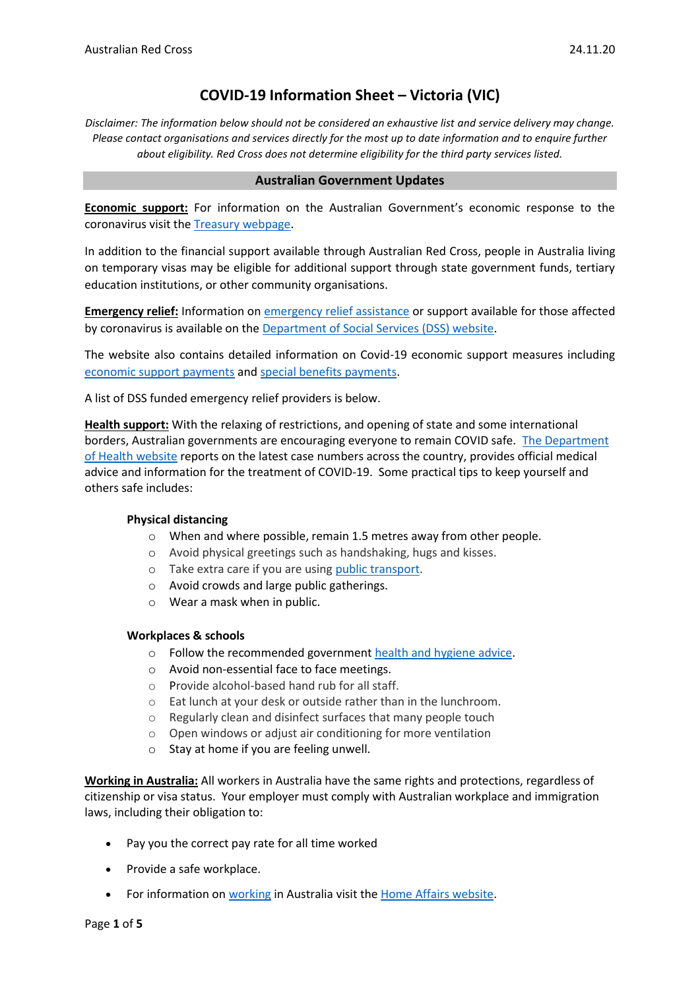# **COVID-19 Information Sheet – Victoria (VIC)**

*Disclaimer: The information below should not be considered an exhaustive list and service delivery may change. Please contact organisations and services directly for the most up to date information and to enquire further about eligibility. Red Cross does not determine eligibility for the third party services listed.*

#### **Australian Government Updates**

**Economic support:** For information on the Australian Government's economic response to the coronavirus visit the [Treasury webpage.](https://treasury.gov.au/coronavirus)

In addition to the financial support available through Australian Red Cross, people in Australia living on temporary visas may be eligible for additional support through state government funds, tertiary education institutions, or other community organisations.

**Emergency relief:** Information o[n emergency relief assistance](https://www.dss.gov.au/about-the-department/coronavirus-covid-19-information-and-support/coronavirus-support-services) or support available for those affected by coronavirus is available on the [Department of Social Services \(DSS\) website.](https://www.dss.gov.au/about-the-department/coronavirus-covid-19-information-and-support)

The website also contains detailed information on Covid-19 economic support measures including [economic support payments](https://www.servicesaustralia.gov.au/individuals/subjects/coronavirus-covid-19-and-how-we-may-help) and [special benefits payments.](https://www.servicesaustralia.gov.au/individuals/services/centrelink/special-benefit)

A list of DSS funded emergency relief providers is below.

**Health support:** With the relaxing of restrictions, and opening of state and some international borders, Australian governments are encouraging everyone to remain COVID safe. [The Department](https://www.health.gov.au/news/health-alerts/novel-coronavirus-2019-ncov-health-alert)  [of Health website](https://www.health.gov.au/news/health-alerts/novel-coronavirus-2019-ncov-health-alert) reports on the latest case numbers across the country, provides official medical advice and information for the treatment of COVID-19. Some practical tips to keep yourself and others safe includes:

#### **Physical distancing**

- o When and where possible, remain 1.5 metres away from other people.
- o Avoid physical greetings such as handshaking, hugs and kisses.
- o Take extra care if you are using [public transport.](https://www.infrastructure.gov.au/transport/files/covid19_public_transport_principles_29052020.pdf)
- o Avoid crowds and large public gatherings.
- o Wear a mask when in public.

#### **Workplaces & schools**

- o Follow the recommended government [health and hygiene advice.](https://www.health.gov.au/news/health-alerts/novel-coronavirus-2019-ncov-health-alert/how-to-protect-yourself-and-others-from-coronavirus-covid-19/good-hygiene-for-coronavirus-covid-19)
- o Avoid non-essential face to face meetings.
- o Provide alcohol-based hand rub for all staff.
- o Eat lunch at your desk or outside rather than in the lunchroom.
- o Regularly clean and disinfect surfaces that many people touch
- o Open windows or adjust air conditioning for more ventilation
- o Stay at home if you are feeling unwell.

**Working in Australia:** All workers in Australia have the same rights and protections, regardless of citizenship or visa status. Your employer must comply with Australian workplace and immigration laws, including their obligation to:

- Pay you the correct pay rate for all time worked
- Provide a safe workplace.
- For information o[n working](https://immi.homeaffairs.gov.au/visas/getting-a-visa/visa-listing/student-500/temporary-relaxation-of-working-hours-for-student-visa-holders) in Australia visit the [Home Affairs website.](https://immi.homeaffairs.gov.au/visas/working-in-australia)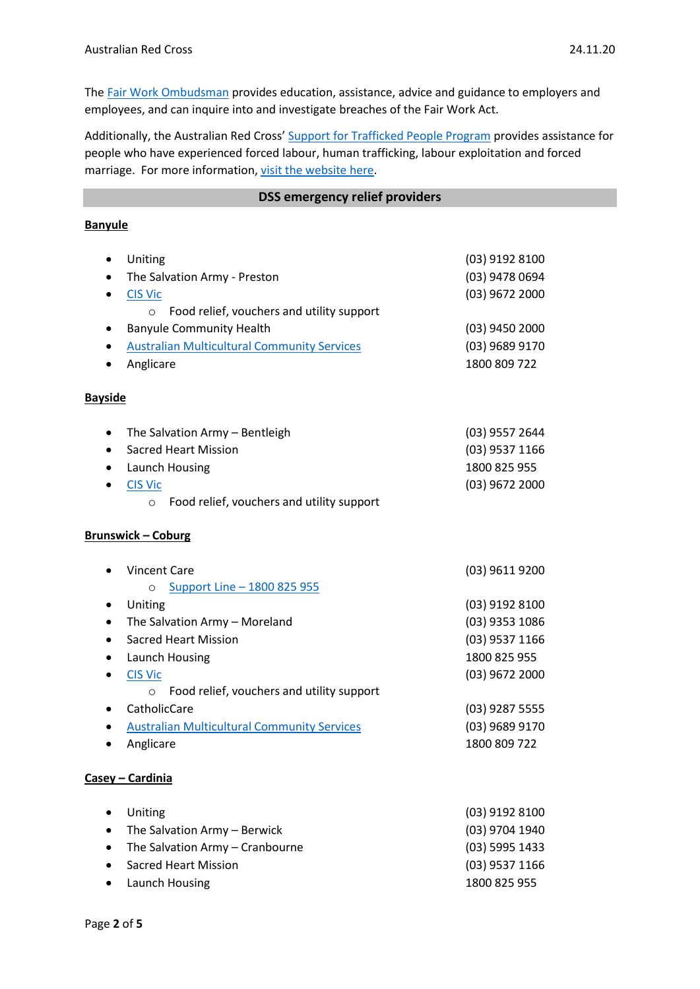The Fair Work [Ombudsman](https://www.fairwork.gov.au/) provides education, assistance, advice and guidance to employers and employees, and can inquire into and investigate breaches of the Fair Work Act.

Additionally, the Australian Red Cross' [Support for Trafficked People Program](https://www.redcross.org.au/get-help/help-for-migrants-in-transition/trafficked-people) provides assistance for people who have experienced forced labour, human trafficking, labour exploitation and forced marriage. For more information, [visit the website here.](https://www.redcross.org.au/get-help/help-for-migrants-in-transition/trafficked-people)

#### **DSS emergency relief providers**

## **Banyule**

| Uniting<br>$\bullet$        |                                                    | (03) 9192 8100   |
|-----------------------------|----------------------------------------------------|------------------|
| $\bullet$                   | The Salvation Army - Preston                       | (03) 9478 0694   |
| <b>CIS Vic</b><br>$\bullet$ |                                                    | (03) 9672 2000   |
| $\circ$                     | Food relief, vouchers and utility support          |                  |
| ٠                           | <b>Banyule Community Health</b>                    | $(03)$ 9450 2000 |
|                             | <b>Australian Multicultural Community Services</b> | (03) 9689 9170   |
| Anglicare                   |                                                    | 1800 809 722     |
| <b>Bayside</b>              |                                                    |                  |
| $\bullet$                   | The Salvation Army - Bentleigh                     | (03) 9557 2644   |
| $\bullet$                   | <b>Sacred Heart Mission</b>                        | (03) 9537 1166   |
|                             | Launch Housing                                     | 1800 825 955     |
| <b>CIS Vic</b><br>$\bullet$ |                                                    | (03) 9672 2000   |
|                             | $\circ$ Food relief, vouchers and utility support  |                  |
| <b>Brunswick - Coburg</b>   |                                                    |                  |
| <b>Vincent Care</b>         |                                                    | (03) 9611 9200   |
| $\circ$                     | Support Line - 1800 825 955                        |                  |
| Uniting<br>٠                |                                                    | (03) 9192 8100   |
| ٠                           | The Salvation Army - Moreland                      | (03) 9353 1086   |
|                             | <b>Sacred Heart Mission</b>                        | (03) 9537 1166   |
|                             | Launch Housing                                     | 1800 825 955     |
| <b>CIS Vic</b><br>$\bullet$ |                                                    | (03) 9672 2000   |
| $\circ$                     | Food relief, vouchers and utility support          |                  |
| CatholicCare                |                                                    | (03) 9287 5555   |
|                             | <b>Australian Multicultural Community Services</b> | (03) 9689 9170   |
| Anglicare                   |                                                    | 1800 809 722     |
| Casey - Cardinia            |                                                    |                  |

| $\bullet$ Uniting                   | (03) 9192 8100 |
|-------------------------------------|----------------|
| • The Salvation Army $-$ Berwick    | (03) 9704 1940 |
| • The Salvation Army $-$ Cranbourne | (03) 5995 1433 |
| • Sacred Heart Mission              | (03) 9537 1166 |
| • Launch Housing                    | 1800 825 955   |
|                                     |                |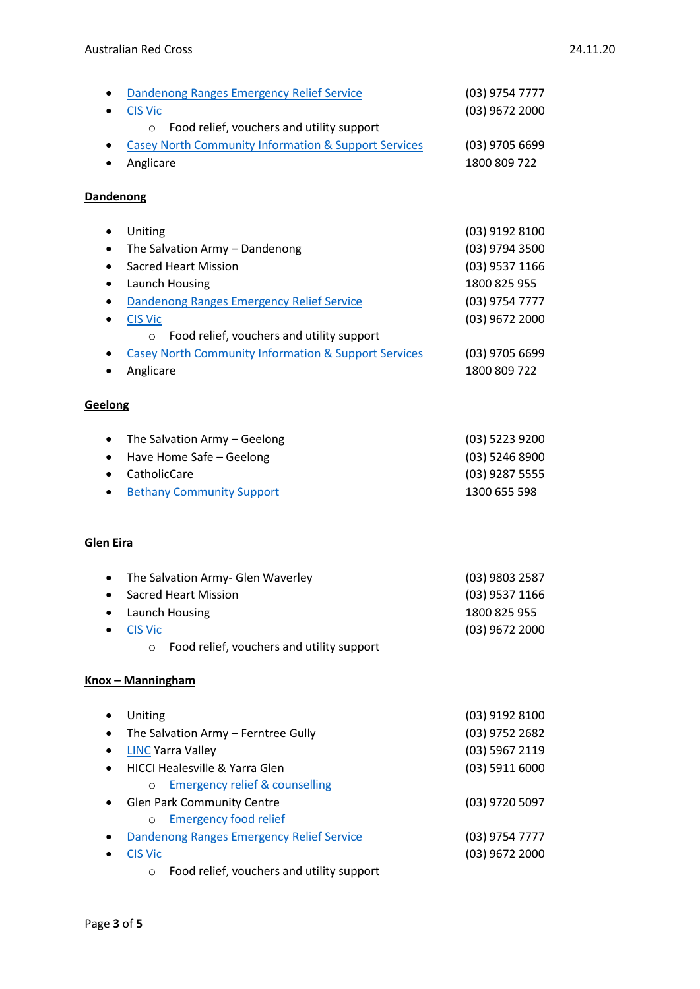| Dandenong Ranges Emergency Relief Service<br>٠                  | (03) 9754 7777   |
|-----------------------------------------------------------------|------------------|
| <b>CIS Vic</b>                                                  | (03) 9672 2000   |
| Food relief, vouchers and utility support<br>$\circ$            |                  |
| <b>Casey North Community Information &amp; Support Services</b> | $(03)$ 9705 6699 |
| Anglicare                                                       | 1800 809 722     |
|                                                                 |                  |
| Dandenong                                                       |                  |
|                                                                 |                  |
| Uniting<br>٠                                                    | (03) 9192 8100   |
| The Salvation Army - Dandenong<br>٠                             | (03) 9794 3500   |
| <b>Sacred Heart Mission</b>                                     | (03) 9537 1166   |
| Launch Housing                                                  | 1800 825 955     |
|                                                                 | (03) 9754 7777   |
| Dandenong Ranges Emergency Relief Service                       |                  |
| <b>CIS Vic</b>                                                  | (03) 9672 2000   |
| Food relief, vouchers and utility support<br>$\circ$            |                  |
| <b>Casey North Community Information &amp; Support Services</b> | $(03)$ 9705 6699 |
| Anglicare                                                       | 1800 809 722     |
|                                                                 |                  |
| Geelong                                                         |                  |
|                                                                 |                  |
| The Salvation Army - Geelong<br>٠                               | (03) 5223 9200   |
| Have Home Safe - Geelong<br>٠                                   | (03) 5246 8900   |
| CatholicCare<br>$\bullet$                                       | $(03)$ 9287 5555 |
| <b>Bethany Community Support</b>                                | 1300 655 598     |
|                                                                 |                  |
| <b>Glen Eira</b>                                                |                  |
|                                                                 |                  |
| The Salvation Army- Glen Waverley                               | (03) 9803 2587   |
| <b>Sacred Heart Mission</b>                                     |                  |
|                                                                 | (03) 9537 1166   |
| Launch Housing                                                  | 1800 825 955     |
| <b>CIS Vic</b>                                                  | (03) 9672 2000   |
| Food relief, vouchers and utility support<br>$\circ$            |                  |
| Knox - Manningham                                               |                  |
|                                                                 |                  |
| Uniting                                                         | (03) 9192 8100   |
|                                                                 | (03) 9752 2682   |
| The Salvation Army - Ferntree Gully                             |                  |
| <b>LINC Yarra Valley</b>                                        | (03) 5967 2119   |
| <b>HICCI Healesville &amp; Yarra Glen</b>                       | (03) 5911 6000   |
| <b>Emergency relief &amp; counselling</b><br>$\circ$            |                  |
| <b>Glen Park Community Centre</b>                               | (03) 9720 5097   |
| <b>Emergency food relief</b><br>$\circ$                         |                  |
| Dandenong Ranges Emergency Relief Service                       | (03) 9754 7777   |
| <b>CIS Vic</b>                                                  | $(03)$ 9672 2000 |
| Food relief, vouchers and utility support<br>$\circ$            |                  |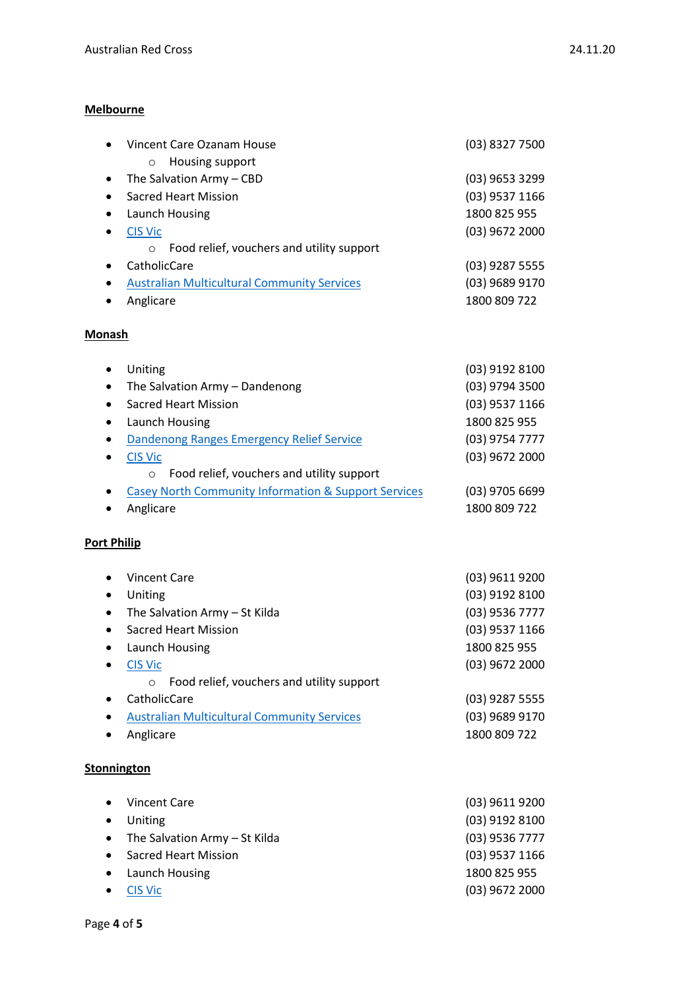### **Melbourne**

| $\bullet$          | Vincent Care Ozanam House                                       | (03) 8327 7500   |
|--------------------|-----------------------------------------------------------------|------------------|
|                    | Housing support<br>$\circ$                                      |                  |
| ٠                  | The Salvation Army - CBD                                        | (03) 9653 3299   |
| ٠                  | <b>Sacred Heart Mission</b>                                     | (03) 9537 1166   |
| ٠                  | Launch Housing                                                  | 1800 825 955     |
|                    | <b>CIS Vic</b>                                                  | (03) 9672 2000   |
|                    | Food relief, vouchers and utility support<br>$\circ$            |                  |
|                    | CatholicCare                                                    | (03) 9287 5555   |
| ٠                  | <b>Australian Multicultural Community Services</b>              | (03) 9689 9170   |
|                    | Anglicare                                                       | 1800 809 722     |
| <b>Monash</b>      |                                                                 |                  |
| ٠                  | Uniting                                                         | (03) 9192 8100   |
| ٠                  | The Salvation Army - Dandenong                                  | (03) 9794 3500   |
| $\bullet$          | <b>Sacred Heart Mission</b>                                     | (03) 9537 1166   |
| ٠                  | Launch Housing                                                  | 1800 825 955     |
| ٠                  | Dandenong Ranges Emergency Relief Service                       | (03) 9754 7777   |
|                    | <b>CIS Vic</b>                                                  | (03) 9672 2000   |
|                    | Food relief, vouchers and utility support<br>$\circ$            |                  |
|                    | <b>Casey North Community Information &amp; Support Services</b> | $(03)$ 9705 6699 |
|                    | Anglicare                                                       | 1800 809 722     |
| <b>Port Philip</b> |                                                                 |                  |
|                    | <b>Vincent Care</b>                                             | (03) 9611 9200   |
| ٠                  | Uniting                                                         | (03) 9192 8100   |
|                    | The Salvation Army - St Kilda                                   | (03) 9536 7777   |
| $\bullet$          | <b>Sacred Heart Mission</b>                                     | (03) 9537 1166   |
|                    | Launch Housing                                                  | 1800 825 955     |
|                    | <b>CIS Vic</b>                                                  | (03) 9672 2000   |
|                    | Food relief, vouchers and utility support<br>$\circ$            |                  |
|                    | CatholicCare                                                    | (03) 9287 5555   |
|                    | <b>Australian Multicultural Community Services</b>              | (03) 9689 9170   |
|                    | Anglicare                                                       | 1800 809 722     |
| <b>Stonnington</b> |                                                                 |                  |
|                    | <b>Vincent Care</b>                                             | (03) 9611 9200   |
|                    | Uniting                                                         | (03) 9192 8100   |
|                    | The Salvation Army - St Kilda                                   | (03) 9536 7777   |
|                    | <b>Sacred Heart Mission</b>                                     | (03) 9537 1166   |
|                    |                                                                 | 1800 825 955     |
|                    | Launch Housing                                                  |                  |
|                    | <b>CIS Vic</b>                                                  | (03) 9672 2000   |